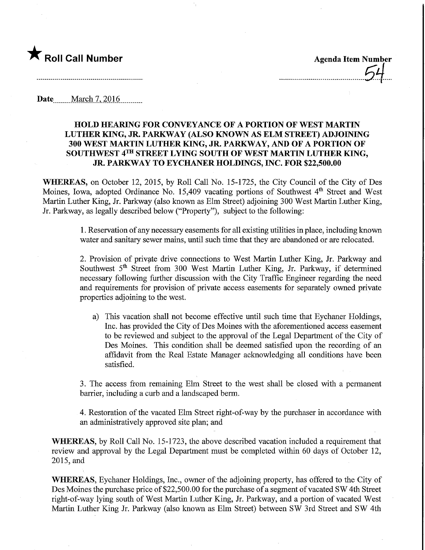

Date ........March 7,.2Q16.

### HOLD HEARING FOR CONVEYANCE OF A PORTION OF WEST MARTIN LUTHER KING, IR. PARKWAY (ALSO KNOWN AS ELM STREET) ADJOINING 300 WEST MARTIN LUTHER KING, JR. PARKWAY, AND OF A PORTION OF SOUTHWEST 4TH STREET LYING SOUTH OF WEST MARTIN LUTHER KING, JR. PARKWAY TO EYCHANER HOLDmGS, INC. FOR \$22,500.00

WHEREAS, on October 12, 2015, by Roll Call No. 15-1725, the City Council of the City of Des Moines, Iowa, adopted Ordinance No. 15,409 vacating portions of Southwest 4<sup>th</sup> Street and West Martin Luther King, Jr. Parkway (also known as Elm Street) adjoining 300 West Martin Luther King, Jr. Parkway, as legally described below ("Property"), subject to the following:

> 1. Reservation of any necessary easements for all existing utilities in place, including known water and sanitary sewer mains, until such time that they are abandoned or are relocated.

> 2. Provision of private drive connections to West Martin Luther King, Jr. Parkway and Southwest 5<sup>th</sup> Street from 300 West Martin Luther King, Jr. Parkway, if determined necessary following further discussion with the City Traffic Engineer regarding the need and requirements for provision of private access easements for separately owned private properties adjoining to the west.

a) This vacation shall not become effective until such time that Eychaner Holdings, Inc. has provided the City of Des Moines with the aforementioned access easement to be reviewed and subject to the approval of the Legal Department of the City of Des Moines. This condition shall be deemed satisfied upon the recording of an affidavit from the Real Estate Manager acknowledging all conditions have been satisfied.

3. The access from remaining Ehn Street to the west shall be closed with a permanent barrier, including a curb and a landscaped berm.

4. Restoration of the vacated Elm Street right-of-way by the purchaser in accordance with an administratively approved site plan; and

WHEREAS, by Roll Call No. 15-1723, the above described vacation included a requirement that review and approval by the Legal Department must be completed within 60 days of October 12, 2015,and

WHEREAS, Eychaner Holdings, Inc., owner of the adjoining property, has offered to the City of Des Moines the purchase price of \$22,500.00 for the purchase of a segment of vacated SW 4th Street right-of-way lying south of West Martin Luther King, Jr. Parkway, and a portion of vacated West Martin Luther King Jr. Parkway (also known as Elm Street) between SW 3rd Street and SW 4th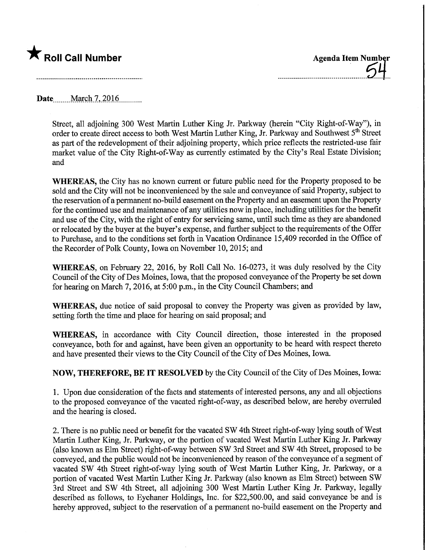

Date March 7, 2016

Street, all adjoining 300 West Martin Luther King Jr. Parkway (herein "City Right-of-Way"), in order to create direct access to both West Martin Luther King, Jr. Parkway and Southwest 5<sup>th</sup> Street as part of the redevelopment of their adjoining property, which price reflects the restricted-use fair market value of the City Right-of-Way as currently estimated by the City's Real Estate Division; and

WHEREAS, the City has no known current or future public need for the Property proposed to be sold and the City will not be inconvenienced by the sale and conveyance of said Property, subject to the reservation of a permanent no-build easement on the Property and an easement upon the Property for the continued use and maintenance of any utilities now in place, including utilities for the benefit and use of the City, with the right of entry for servicing same, until such time as they are abandoned or relocated by the buyer at the buyer's expense, and further subject to the requirements of the Offer to Purchase, and to the conditions set forth in Vacation Ordinance 15,409 recorded in the Office of the Recorder of Polk County, Iowa on November 10, 2015; and

WHEREAS, on February 22, 2016, by Roll Call No. 16-0273, it was duly resolved by the City Council of the City of Des Moines, Iowa, that the proposed conveyance of the Property be set down for hearing on March 7, 2016, at 5:00 p.m., in the City Council Chambers; and

WHEREAS, due notice of said proposal to convey the Property was given as provided by law, setting forth the time and place for hearing on said proposal; and

WHEREAS, in accordance with City Council direction, those interested in the proposed conveyance, both for and against, have been given an opportunity to be heard with respect thereto and have presented their views to the City Council of the City of Des Moines, Iowa.

NOW, THEREFORE, BE IT RESOLVED by the City Council of the City of Des Moines, Iowa:

1. Upon due consideration of the facts and statements of interested persons, any and all objections to the proposed conveyance of the vacated right-of-way, as described below, are hereby overruled and the hearing is closed.

2. There is no public need or benefit for the vacated SW 4th Street right-of-way lying south of West Martin Luther King, Jr. Parkway, or the portion of vacated West Martin Luther King Jr. Parkway (also known as Elm Street) right-of-way between SW 3rd Street and SW 4th Street, proposed to be conveyed, and the public would not be inconvenienced by reason of the conveyance of a segment of vacated SW 4th Street right-of-way lying south of West Martin Luther King, Jr. Parkway, or a portion of vacated West Martin Luther King Jr. Parkway (also known as Elm Street) between SW 3rd Street and SW 4th Street, all adjoining 300 West Martin Luther King Jr. Parkway, legally described as follows, to Eychaner Holdings, Inc. for \$22,500.00, and said conveyance be and is hereby approved, subject to the reservation of a permanent no-build easement on the Property and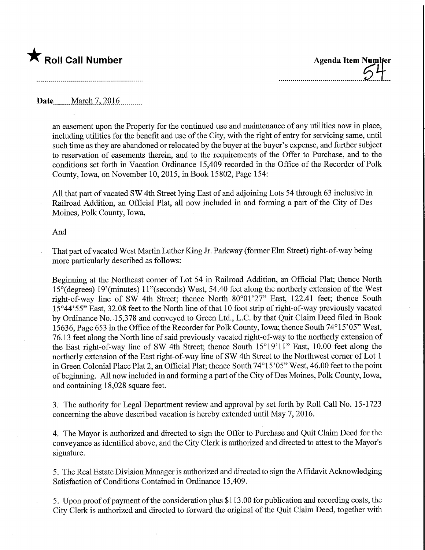# $\bigstar$  Roll Call Number

Agenda Item Number

### Date March 7, 2016

an easement upon the Property for the continued use and maintenance of any utilities now in place, including utilities for the benefit and use of the City, with the right of entry for servicing same, until such time as they are abandoned or relocated by the buyer at the buyer's expense, and further subject to reservation of easements therein, and to the requirements of the Offer to Purchase, and to the conditions set forth in Vacation Ordinance 15,409 recorded in the Office of the Recorder of Polk County, Iowa, on November 10, 2015, in Book 15802, Page 154:

All that part of vacated SW 4th Street lying East of and adjoining Lots 54 through 63 inclusive in Railroad Addition, an Official Plat, all now included in and forming a part of the City of Des Moines, Polk County, Iowa,

#### And

That part of vacated West Martin Luther King Jr. Parkway (former Elm Street) right-of-way being more particularly described as follows:

Beginning at the Northeast comer of Lot 54 in Railroad Addition, an Official Plat; thence North 15°(degrees) 19'(minutes) 11 "(seconds) West, 54.40 feet along the northerly extension of the West right-of-way line of SW 4th Street; thence North 80°01'27" East, 122.41 feet; thence South 15°44'55" East, 32.08 feet to the North line of that 10 foot strip of right-of-way previously vacated by Ordinance No. 15,378 and conveyed to Green Ltd., L.C. by that Quit Claim Deed filed in Book 15636, Page 653 in the Office of the Recorder for Polk County, Iowa; thence South 74°15'05" West, 76.13 feet along the North line of said previously vacated right-of-way to the northerly extension of the East right-of-way line of SW 4th Street; thence South 15°19'11" East, 10.00 feet along the northerly extension of the East right-of-way line of SW 4th Street to the Northwest comer of Lot 1 in Green Colonial Place Plat 2, an Official Plat; thence South 74°15'05" West, 46.00 feet to the point of beginning. All now included in and forming a part of the City of Des Moines, Polk County, Iowa, and containing 18,028 square feet.

3. The authority for Legal Department review and approval by set forth by Roll Call No. 15-1723 concerning the above described vacation is hereby extended until May 7,2016.

4. The Mayor is authorized and directed to sign the Offer to Purchase and Quit Claim Deed for the conveyance as identified above, and the City Clerk is authorized and directed to attest to the Mayor's signature.

5. The Real Estate Division Manager is authorized and directed to sign the Affidavit Acknowledging Satisfaction of Conditions Contained in Ordinance 15,409.

5. Upon proof of payment of the consideration plus \$113.00 for publication and recording costs, the City Clerk is authorized and directed to forward the original of the Quit Claim Deed, together with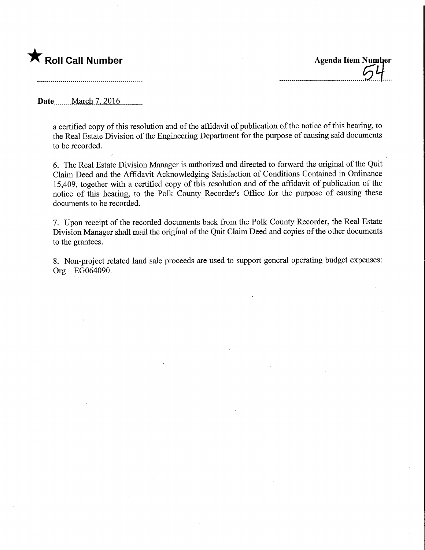## **The Roll Call Number Agents Contained Agents Agents Item Number**

Date **March 7, 2016**.

a certified copy of this resolution and of the affidavit of publication of the notice of this hearing, to the Real Estate Division of the Engineering Department for the purpose of causing said documents to be recorded.

6. The Real Estate Division Manager is authorized and directed to forward the original of the Quit Clami Deed and the Affidavit Acknowledging Satisfaction of Conditions Contained in Ordinance 15,409, together with a certified copy of this resolution and of the affidavit of publication of the notice of this hearing, to the Polk County Recorder's Office for the purpose of causing these documents to be recorded.

7. Upon receipt of the recorded documents back from the Polk County Recorder, the Real Estate Division Manager shall mail the original of the Quit Claim Deed and copies of the other documents to the grantees.

8. Non-project related land sale proceeds are used to support general operating budget expenses: Org-EG064090.